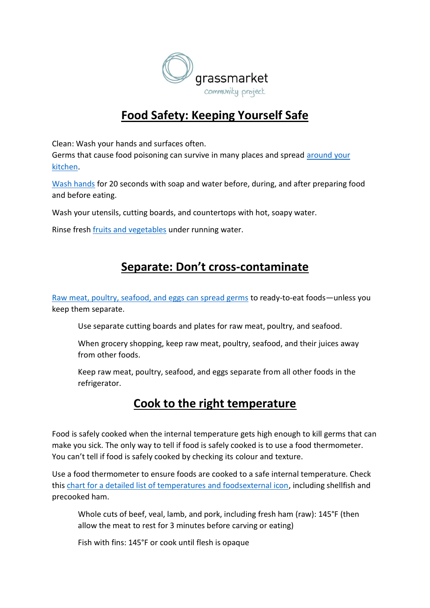

## **Food Safety: Keeping Yourself Safe**

Clean: Wash your hands and surfaces often. Germs that cause food poisoning can survive in many places and spread [around your](https://www.cdc.gov/foodsafety/communication/gearup-food-safety.html)  [kitchen.](https://www.cdc.gov/foodsafety/communication/gearup-food-safety.html)

[Wash hands](https://www.cdc.gov/handwashing/handwashing-kitchen.html) for 20 seconds with soap and water before, during, and after preparing food and before eating.

Wash your utensils, cutting boards, and countertops with hot, soapy water.

Rinse fresh [fruits and vegetables](https://www.cdc.gov/foodsafety/communication/steps-healthy-fruits-veggies.html) under running water.

## **Separate: Don't cross-contaminate**

[Raw meat, poultry, seafood, and eggs can spread germs](https://www.cdc.gov/foodsafety/foods-linked-illness.html) to ready-to-eat foods—unless you keep them separate.

Use separate cutting boards and plates for raw meat, poultry, and seafood.

When grocery shopping, keep raw meat, poultry, seafood, and their juices away from other foods.

Keep raw meat, poultry, seafood, and eggs separate from all other foods in the refrigerator.

## **Cook to the right temperature**

Food is safely cooked when the internal temperature gets high enough to kill germs that can make you sick. The only way to tell if food is safely cooked is to use a food thermometer. You can't tell if food is safely cooked by checking its colour and texture.

Use a food thermometer to ensure foods are cooked to a safe internal temperature. Check this [chart for a detailed list of temperatures and foodsexternal icon,](https://www.foodsafety.gov/food-safety-charts/safe-minimum-cooking-temperature) including shellfish and precooked ham.

Whole cuts of beef, veal, lamb, and pork, including fresh ham (raw): 145°F (then allow the meat to rest for 3 minutes before carving or eating)

Fish with fins: 145°F or cook until flesh is opaque